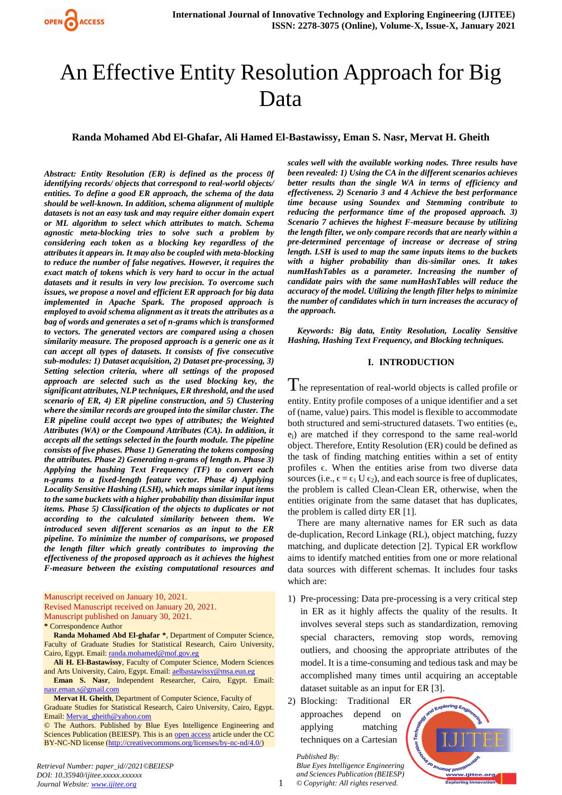

# An Effective Entity Resolution Approach for Big Data

## **Randa Mohamed Abd El-Ghafar, Ali Hamed El-Bastawissy, Eman S. Nasr, Mervat H. Gheith**

*Abstract: Entity Resolution (ER) is defined as the process 0f identifying records/ objects that correspond to real-world objects/ entities. To define a good ER approach, the schema of the data should be well-known. In addition, schema alignment of multiple datasets is not an easy task and may require either domain expert or ML algorithm to select which attributes to match. Schema agnostic meta-blocking tries to solve such a problem by considering each token as a blocking key regardless of the attributes it appears in. It may also be coupled with meta-blocking to reduce the number of false negatives. However, it requires the exact match of tokens which is very hard to occur in the actual datasets and it results in very low precision. To overcome such issues, we propose a novel and efficient ER approach for big data implemented in Apache Spark. The proposed approach is employed to avoid schema alignment as it treats the attributes as a bag of words and generates a set of n-grams which is transformed to vectors. The generated vectors are compared using a chosen similarity measure. The proposed approach is a generic one as it can accept all types of datasets. It consists of five consecutive sub-modules: 1) Dataset acquisition, 2) Dataset pre-processing, 3) Setting selection criteria, where all settings of the proposed approach are selected such as the used blocking key, the significant attributes, NLP techniques, ER threshold, and the used scenario of ER, 4) ER pipeline construction, and 5) Clustering where the similar records are grouped into the similar cluster. The ER pipeline could accept two types of attributes; the Weighted Attributes (WA) or the Compound Attributes (CA). In addition, it accepts all the settings selected in the fourth module. The pipeline consists of five phases. Phase 1) Generating the tokens composing the attributes. Phase 2) Generating n-grams of length n. Phase 3) Applying the hashing Text Frequency (TF) to convert each n-grams to a fixed-length feature vector. Phase 4) Applying Locality Sensitive Hashing (LSH), which maps similar input items to the same buckets with a higher probability than dissimilar input items. Phase 5) Classification of the objects to duplicates or not according to the calculated similarity between them. We introduced seven different scenarios as an input to the ER pipeline. To minimize the number of comparisons, we proposed the length filter which greatly contributes to improving the effectiveness of the proposed approach as it achieves the highest F-measure between the existing computational resources and* 

Manuscript received on January 10, 2021.

Revised Manuscript received on January 20, 2021. Manuscript published on January 30, 2021.

**\*** Correspondence Author

**Randa Mohamed Abd El-ghafar \***, Department of Computer Science, Faculty of Graduate Studies for Statistical Research, Cairo University, Cairo, Egypt. Email[: randa.mohamed@mof.gov.eg](mailto:randa.mohamed@mof.gov.eg)

**Ali H. El-Bastawissy**, Faculty of Computer Science, Modern Sciences and Arts University, Cairo, Egypt. Email[: aelbastawissy@msa.eun.eg](mailto:aelbastawissy@msa.eun.eg)

**Eman S. Nasr**, Independent Researcher, Cairo, Egypt. Email: [nasr.eman.s@gmail.com](mailto:nasr.eman.s@gmail.com)

**Mervat H. Gheith**, Department of Computer Science, Faculty of Graduate Studies for Statistical Research, Cairo University, Cairo, Egypt. Email[: Mervat\\_gheith@yahoo.com](mailto:Mervat_gheith@yahoo.com)

© The Authors. Published by Blue Eyes Intelligence Engineering and Sciences Publication (BEIESP). This is an [open access](https://www.openaccess.nl/en/open-publications) article under the CC BY-NC-ND license [\(http://creativecommons.org/licenses/by-nc-nd/4.0/\)](http://creativecommons.org/licenses/by-nc-nd/4.0/)

*scales well with the available working nodes. Three results have been revealed: 1) Using the CA in the different scenarios achieves better results than the single WA in terms of efficiency and effectiveness. 2) Scenario 3 and 4 Achieve the best performance time because using Soundex and Stemming contribute to reducing the performance time of the proposed approach. 3) Scenario 7 achieves the highest F-measure because by utilizing the length filter, we only compare records that are nearly within a pre-determined percentage of increase or decrease of string length. LSH is used to map the same inputs items to the buckets with a higher probability than dis-similar ones. It takes numHashTables as a parameter. Increasing the number of candidate pairs with the same numHashTables will reduce the accuracy of the model. Utilizing the length filter helps to minimize the number of candidates which in turn increases the accuracy of the approach.*

*Keywords: Big data, Entity Resolution, Locality Sensitive Hashing, Hashing Text Frequency, and Blocking techniques.*

# **I. INTRODUCTION**

 $\rm T$ he representation of real-world objects is called profile or entity. Entity profile composes of a unique identifier and a set of (name, value) pairs. This model is flexible to accommodate both structured and semi-structured datasets. Two entities (e<sub>i</sub>, ej) are matched if they correspond to the same real-world object. Therefore, Entity Resolution (ER) could be defined as the task of finding matching entities within a set of entity profiles  $\epsilon$ . When the entities arise from two diverse data sources (i.e.,  $\epsilon = \epsilon_1 U \epsilon_2$ ), and each source is free of duplicates, the problem is called Clean-Clean ER, otherwise, when the entities originate from the same dataset that has duplicates, the problem is called dirty ER [1].

There are many alternative names for ER such as data de-duplication, Record Linkage (RL), object matching, fuzzy matching, and duplicate detection [2]. Typical ER workflow aims to identify matched entities from one or more relational data sources with different schemas. It includes four tasks which are:

- 1) Pre-processing: Data pre-processing is a very critical step in ER as it highly affects the quality of the results. It involves several steps such as standardization, removing special characters, removing stop words, removing outliers, and choosing the appropriate attributes of the model. It is a time-consuming and tedious task and may be accomplished many times until acquiring an acceptable dataset suitable as an input for ER [3].
- 2) Blocking: Traditional ER approaches depend on applying matching techniques on a Cartesian

*© Copyright: All rights reserved.*

*Published By:*

*Blue Eyes Intelligence Engineering and Sciences Publication (BEIESP)* ww.ijitee.org ng Ini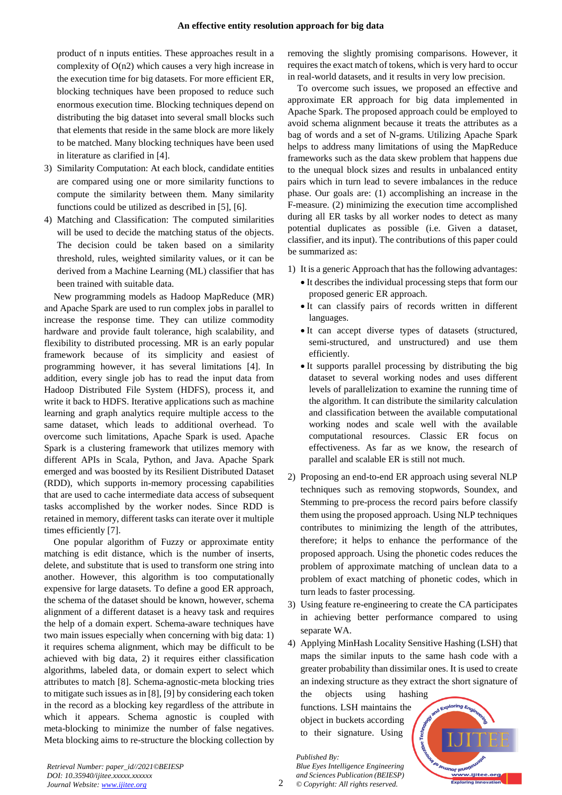product of n inputs entities. These approaches result in a complexity of O(n2) which causes a very high increase in the execution time for big datasets. For more efficient ER, blocking techniques have been proposed to reduce such enormous execution time. Blocking techniques depend on distributing the big dataset into several small blocks such that elements that reside in the same block are more likely to be matched. Many blocking techniques have been used in literature as clarified in [4].

- 3) Similarity Computation: At each block, candidate entities are compared using one or more similarity functions to compute the similarity between them. Many similarity functions could be utilized as described in [5], [6].
- 4) Matching and Classification: The computed similarities will be used to decide the matching status of the objects. The decision could be taken based on a similarity threshold, rules, weighted similarity values, or it can be derived from a Machine Learning (ML) classifier that has been trained with suitable data.

New programming models as Hadoop MapReduce (MR) and Apache Spark are used to run complex jobs in parallel to increase the response time. They can utilize commodity hardware and provide fault tolerance, high scalability, and flexibility to distributed processing. MR is an early popular framework because of its simplicity and easiest of programming however, it has several limitations [4]. In addition, every single job has to read the input data from Hadoop Distributed File System (HDFS), process it, and write it back to HDFS. Iterative applications such as machine learning and graph analytics require multiple access to the same dataset, which leads to additional overhead. To overcome such limitations, Apache Spark is used. Apache Spark is a clustering framework that utilizes memory with different APIs in Scala, Python, and Java. Apache Spark emerged and was boosted by its Resilient Distributed Dataset (RDD), which supports in-memory processing capabilities that are used to cache intermediate data access of subsequent tasks accomplished by the worker nodes. Since RDD is retained in memory, different tasks can iterate over it multiple times efficiently [7].

One popular algorithm of Fuzzy or approximate entity matching is edit distance, which is the number of inserts, delete, and substitute that is used to transform one string into another. However, this algorithm is too computationally expensive for large datasets. To define a good ER approach, the schema of the dataset should be known, however, schema alignment of a different dataset is a heavy task and requires the help of a domain expert. Schema-aware techniques have two main issues especially when concerning with big data: 1) it requires schema alignment, which may be difficult to be achieved with big data, 2) it requires either classification algorithms, labeled data, or domain expert to select which attributes to match [8]. Schema-agnostic-meta blocking tries to mitigate such issues as in [8], [9] by considering each token in the record as a blocking key regardless of the attribute in which it appears. Schema agnostic is coupled with meta-blocking to minimize the number of false negatives. Meta blocking aims to re-structure the blocking collection by removing the slightly promising comparisons. However, it requires the exact match of tokens, which is very hard to occur in real-world datasets, and it results in very low precision.

To overcome such issues, we proposed an effective and approximate ER approach for big data implemented in Apache Spark. The proposed approach could be employed to avoid schema alignment because it treats the attributes as a bag of words and a set of N-grams. Utilizing Apache Spark helps to address many limitations of using the MapReduce frameworks such as the data skew problem that happens due to the unequal block sizes and results in unbalanced entity pairs which in turn lead to severe imbalances in the reduce phase. Our goals are: (1) accomplishing an increase in the F-measure. (2) minimizing the execution time accomplished during all ER tasks by all worker nodes to detect as many potential duplicates as possible (i.e. Given a dataset, classifier, and its input). The contributions of this paper could be summarized as:

- 1) It is a generic Approach that has the following advantages:
	- It describes the individual processing steps that form our proposed generic ER approach.
	- It can classify pairs of records written in different languages.
	- It can accept diverse types of datasets (structured, semi-structured, and unstructured) and use them efficiently.
	- It supports parallel processing by distributing the big dataset to several working nodes and uses different levels of parallelization to examine the running time of the algorithm. It can distribute the similarity calculation and classification between the available computational working nodes and scale well with the available computational resources. Classic ER focus on effectiveness. As far as we know, the research of parallel and scalable ER is still not much.
- 2) Proposing an end-to-end ER approach using several NLP techniques such as removing stopwords, Soundex, and Stemming to pre-process the record pairs before classify them using the proposed approach. Using NLP techniques contributes to minimizing the length of the attributes, therefore; it helps to enhance the performance of the proposed approach. Using the phonetic codes reduces the problem of approximate matching of unclean data to a problem of exact matching of phonetic codes, which in turn leads to faster processing.
- 3) Using feature re-engineering to create the CA participates in achieving better performance compared to using separate WA.
- 4) Applying MinHash Locality Sensitive Hashing (LSH) that maps the similar inputs to the same hash code with a greater probability than dissimilar ones. It is used to create an indexing structure as they extract the short signature of

the objects using hashing functions. LSH maintains the object in buckets according to their signature. Using



*Retrieval Number: paper\_id//2021©BEIESP DOI: 10.35940/ijitee.xxxxx.xxxxxx Journal Website[: www.ijitee.org](http://www.ijitee.org/)*

*Published By:*

*Blue Eyes Intelligence Engineering and Sciences Publication (BEIESP) © Copyright: All rights reserved.*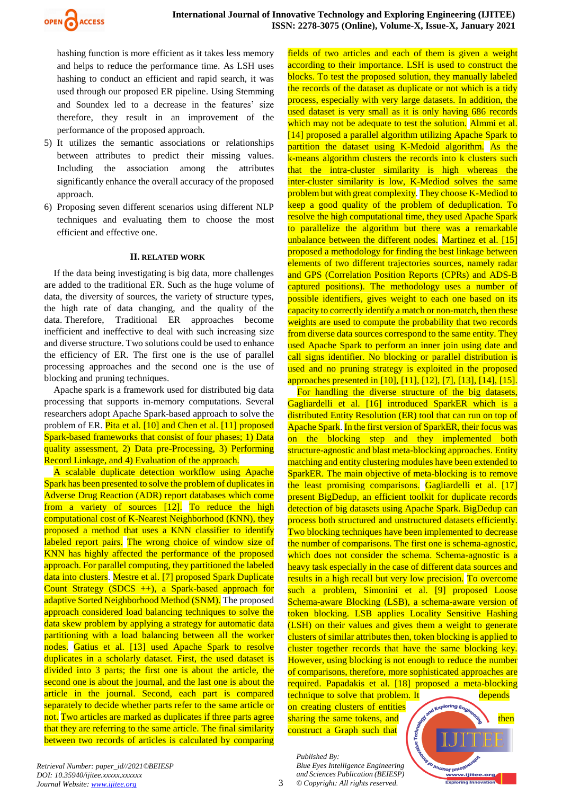

hashing function is more efficient as it takes less memory and helps to reduce the performance time. As LSH uses hashing to conduct an efficient and rapid search, it was used through our proposed ER pipeline. Using Stemming and Soundex led to a decrease in the features' size therefore, they result in an improvement of the performance of the proposed approach.

- 5) It utilizes the semantic associations or relationships between attributes to predict their missing values. Including the association among the attributes significantly enhance the overall accuracy of the proposed approach.
- 6) Proposing seven different scenarios using different NLP techniques and evaluating them to choose the most efficient and effective one.

#### **II. RELATED WORK**

If the data being investigating is big data, more challenges are added to the traditional ER. Such as the huge volume of data, the diversity of sources, the variety of structure types, the high rate of data changing, and the quality of the data. Therefore, Traditional ER approaches become inefficient and ineffective to deal with such increasing size and diverse structure. Two solutions could be used to enhance the efficiency of ER. The first one is the use of parallel processing approaches and the second one is the use of blocking and pruning techniques.

Apache spark is a framework used for distributed big data processing that supports in-memory computations. Several researchers adopt Apache Spark-based approach to solve the problem of ER. Pita et al. [10] and Chen et al. [11] proposed Spark-based frameworks that consist of four phases; 1) Data quality assessment, 2) Data pre-Processing, 3) Performing Record Linkage, and 4) Evaluation of the approach.

A scalable duplicate detection workflow using Apache Spark has been presented to solve the problem of duplicates in Adverse Drug Reaction (ADR) report databases which come from a variety of sources [12]. To reduce the high computational cost of K-Nearest Neighborhood (KNN), they proposed a method that uses a KNN classifier to identify labeled report pairs. The wrong choice of window size of KNN has highly affected the performance of the proposed approach. For parallel computing, they partitioned the labeled data into clusters. Mestre et al. [7] proposed Spark Duplicate Count Strategy (SDCS ++), a Spark-based approach for adaptive Sorted Neighborhood Method (SNM). The proposed approach considered load balancing techniques to solve the data skew problem by applying a strategy for automatic data partitioning with a load balancing between all the worker nodes. Gatius et al. [13] used Apache Spark to resolve duplicates in a scholarly dataset. First, the used dataset is divided into 3 parts; the first one is about the article, the second one is about the journal, and the last one is about the article in the journal. Second, each part is compared separately to decide whether parts refer to the same article or not. Two articles are marked as duplicates if three parts agree that they are referring to the same article. The final similarity between two records of articles is calculated by comparing

fields of two articles and each of them is given a weight according to their importance. LSH is used to construct the blocks. To test the proposed solution, they manually labeled the records of the dataset as duplicate or not which is a tidy process, especially with very large datasets. In addition, the used dataset is very small as it is only having 686 records which may not be adequate to test the solution. Almmi et al. [14] proposed a parallel algorithm utilizing Apache Spark to partition the dataset using K-Medoid algorithm. As the k-means algorithm clusters the records into k clusters such that the intra-cluster similarity is high whereas the inter-cluster similarity is low, K-Mediod solves the same problem but with great complexity. They choose K-Mediod to keep a good quality of the problem of deduplication. To resolve the high computational time, they used Apache Spark to parallelize the algorithm but there was a remarkable unbalance between the different nodes. Martinez et al. [15] proposed a methodology for finding the best linkage between elements of two different trajectories sources, namely radar and GPS (Correlation Position Reports (CPRs) and ADS-B captured positions). The methodology uses a number of possible identifiers, gives weight to each one based on its capacity to correctly identify a match or non-match, then these weights are used to compute the probability that two records from diverse data sources correspond to the same entity. They used Apache Spark to perform an inner join using date and call signs identifier. No blocking or parallel distribution is used and no pruning strategy is exploited in the proposed approaches presented in [10], [11], [12], [7], [13], [14], [15].

For handling the diverse structure of the big datasets, Gagliardelli et al. [16] introduced SparkER which is a distributed Entity Resolution (ER) tool that can run on top of Apache Spark. In the first version of SparkER, their focus was on the blocking step and they implemented both structure-agnostic and blast meta-blocking approaches. Entity matching and entity clustering modules have been extended to SparkER. The main objective of meta-blocking is to remove the least promising comparisons. Gagliardelli et al. [17] present BigDedup, an efficient toolkit for duplicate records detection of big datasets using Apache Spark. BigDedup can process both structured and unstructured datasets efficiently. Two blocking techniques have been implemented to decrease the number of comparisons. The first one is schema-agnostic, which does not consider the schema. Schema-agnostic is a heavy task especially in the case of different data sources and results in a high recall but very low precision. To overcome such a problem, Simonini et al. [9] proposed Loose Schema-aware Blocking (LSB), a schema-aware version of token blocking. LSB applies Locality Sensitive Hashing (LSH) on their values and gives them a weight to generate clusters of similar attributes then, token blocking is applied to cluster together records that have the same blocking key. However, using blocking is not enough to reduce the number of comparisons, therefore, more sophisticated approaches are required. Papadakis et al. [18] proposed a meta-blocking

technique to solve that problem. It depends on creating clusters of entities sharing the same tokens, and  $\left\langle \mathcal{A} \right\rangle$ construct a Graph such that



*Retrieval Number: paper\_id//2021©BEIESP DOI: 10.35940/ijitee.xxxxx.xxxxxx Journal Website[: www.ijitee.org](http://www.ijitee.org/)*

*Published By:*

3

*Blue Eyes Intelligence Engineering and Sciences Publication (BEIESP) © Copyright: All rights reserved.*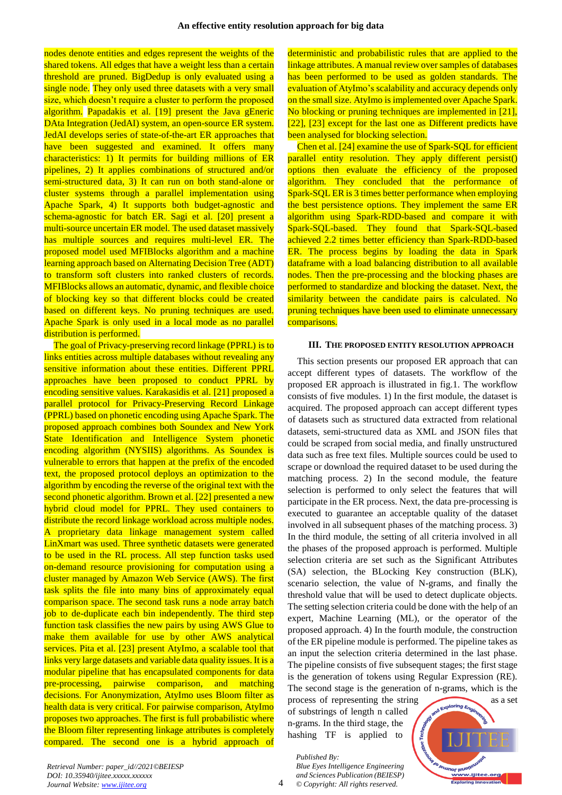nodes denote entities and edges represent the weights of the shared tokens. All edges that have a weight less than a certain threshold are pruned. BigDedup is only evaluated using a single node. They only used three datasets with a very small size, which doesn't require a cluster to perform the proposed algorithm. Papadakis et al. [19] present the Java gEneric DAta Integration (JedAI) system, an open-source ER system. JedAI develops series of state-of-the-art ER approaches that have been suggested and examined. It offers many characteristics: 1) It permits for building millions of ER pipelines, 2) It applies combinations of structured and/or semi-structured data, 3) It can run on both stand-alone or cluster systems through a parallel implementation using Apache Spark, 4) It supports both budget-agnostic and schema-agnostic for batch ER. Sagi et al. [20] present a multi-source uncertain ER model. The used dataset massively has multiple sources and requires multi-level ER. The proposed model used MFIBlocks algorithm and a machine learning approach based on Alternating Decision Tree (ADT) to transform soft clusters into ranked clusters of records. MFIBlocks allows an automatic, dynamic, and flexible choice of blocking key so that different blocks could be created based on different keys. No pruning techniques are used. Apache Spark is only used in a local mode as no parallel distribution is performed.

The goal of Privacy-preserving record linkage (PPRL) is to links entities across multiple databases without revealing any sensitive information about these entities. Different PPRL approaches have been proposed to conduct PPRL by encoding sensitive values. Karakasidis et al. [21] proposed a parallel protocol for Privacy-Preserving Record Linkage (PPRL) based on phonetic encoding using Apache Spark. The proposed approach combines both Soundex and New York State Identification and Intelligence System phonetic encoding algorithm (NYSIIS) algorithms. As Soundex is vulnerable to errors that happen at the prefix of the encoded text, the proposed protocol deploys an optimization to the algorithm by encoding the reverse of the original text with the second phonetic algorithm. Brown et al. [22] presented a new hybrid cloud model for PPRL. They used containers to distribute the record linkage workload across multiple nodes. A proprietary data linkage management system called LinXmart was used. Three synthetic datasets were generated to be used in the RL process. All step function tasks used on-demand resource provisioning for computation using a cluster managed by Amazon Web Service (AWS). The first task splits the file into many bins of approximately equal comparison space. The second task runs a node array batch job to de-duplicate each bin independently. The third step function task classifies the new pairs by using AWS Glue to make them available for use by other AWS analytical services. Pita et al. [23] present AtyImo, a scalable tool that links very large datasets and variable data quality issues. It is a modular pipeline that has encapsulated components for data pre-processing, pairwise comparison, and matching decisions. For Anonymization, AtyImo uses Bloom filter as health data is very critical. For pairwise comparison, AtyImo proposes two approaches. The first is full probabilistic where the Bloom filter representing linkage attributes is completely compared. The second one is a hybrid approach of

deterministic and probabilistic rules that are applied to the linkage attributes. A manual review over samples of databases has been performed to be used as golden standards. The evaluation of AtyImo's scalability and accuracy depends only on the small size. AtyImo is implemented over Apache Spark. No blocking or pruning techniques are implemented in [21], [22], [23] except for the last one as Different predicts have been analysed for blocking selection.

Chen et al. [24] examine the use of Spark-SQL for efficient parallel entity resolution. They apply different persist() options then evaluate the efficiency of the proposed algorithm. They concluded that the performance of Spark-SQL ER is 3 times better performance when employing the best persistence options. They implement the same ER algorithm using Spark-RDD-based and compare it with Spark-SQL-based. They found that Spark-SQL-based achieved 2.2 times better efficiency than Spark-RDD-based ER. The process begins by loading the data in Spark dataframe with a load balancing distribution to all available nodes. Then the pre-processing and the blocking phases are performed to standardize and blocking the dataset. Next, the similarity between the candidate pairs is calculated. No pruning techniques have been used to eliminate unnecessary comparisons.

### **III. THE PROPOSED ENTITY RESOLUTION APPROACH**

This section presents our proposed ER approach that can accept different types of datasets. The workflow of the proposed ER approach is illustrated in fig.1. The workflow consists of five modules. 1) In the first module, the dataset is acquired. The proposed approach can accept different types of datasets such as structured data extracted from relational datasets, semi-structured data as XML and JSON files that could be scraped from social media, and finally unstructured data such as free text files. Multiple sources could be used to scrape or download the required dataset to be used during the matching process. 2) In the second module, the feature selection is performed to only select the features that will participate in the ER process. Next, the data pre-processing is executed to guarantee an acceptable quality of the dataset involved in all subsequent phases of the matching process. 3) In the third module, the setting of all criteria involved in all the phases of the proposed approach is performed. Multiple selection criteria are set such as the Significant Attributes (SA) selection, the BLocking Key construction (BLK), scenario selection, the value of N-grams, and finally the threshold value that will be used to detect duplicate objects. The setting selection criteria could be done with the help of an expert, Machine Learning (ML), or the operator of the proposed approach. 4) In the fourth module, the construction of the ER pipeline module is performed. The pipeline takes as an input the selection criteria determined in the last phase. The pipeline consists of five subsequent stages; the first stage is the generation of tokens using Regular Expression (RE). The second stage is the generation of n-grams, which is the

process of representing the string as a set of substrings of length n called n-grams. In the third stage, the hashing TF is applied to

*Blue Eyes Intelligence Engineering and Sciences Publication (BEIESP) © Copyright: All rights reserved.*

*Published By:*

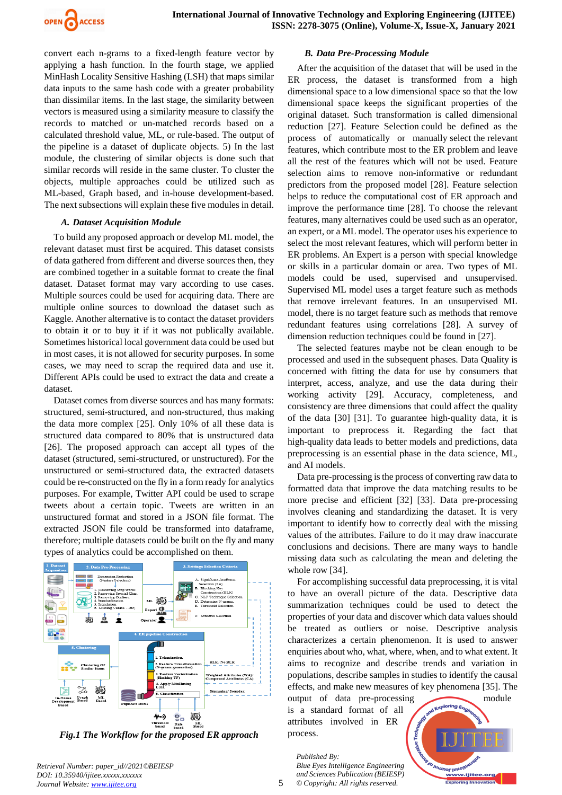

convert each n-grams to a fixed-length feature vector by applying a hash function. In the fourth stage, we applied MinHash Locality Sensitive Hashing (LSH) that maps similar data inputs to the same hash code with a greater probability than dissimilar items. In the last stage, the similarity between vectors is measured using a similarity measure to classify the records to matched or un-matched records based on a calculated threshold value, ML, or rule-based. The output of the pipeline is a dataset of duplicate objects. 5) In the last module, the clustering of similar objects is done such that similar records will reside in the same cluster. To cluster the objects, multiple approaches could be utilized such as ML-based, Graph based, and in-house development-based. The next subsections will explain these five modules in detail.

#### *A. Dataset Acquisition Module*

To build any proposed approach or develop ML model, the relevant dataset must first be acquired. This dataset consists of data gathered from different and diverse sources then, they are combined together in a suitable format to create the final dataset. Dataset format may vary according to use cases. Multiple sources could be used for acquiring data. There are multiple online sources to download the dataset such as Kaggle. Another alternative is to contact the dataset providers to obtain it or to buy it if it was not publically available. Sometimes historical local government data could be used but in most cases, it is not allowed for security purposes. In some cases, we may need to scrap the required data and use it. Different APIs could be used to extract the data and create a dataset.

Dataset comes from diverse sources and has many formats: structured, semi-structured, and non-structured, thus making the data more complex [25]. Only 10% of all these data is structured data compared to 80% that is unstructured data [26]. The proposed approach can accept all types of the dataset (structured, semi-structured, or unstructured). For the unstructured or semi-structured data, the extracted datasets could be re-constructed on the fly in a form ready for analytics purposes. For example, Twitter API could be used to scrape tweets about a certain topic. Tweets are written in an unstructured format and stored in a JSON file format. The extracted JSON file could be transformed into dataframe, therefore; multiple datasets could be built on the fly and many types of analytics could be accomplished on them.



*Fig.1 The Workflow for the proposed ER approach*

*Retrieval Number: paper\_id//2021©BEIESP DOI: 10.35940/ijitee.xxxxx.xxxxxx Journal Website[: www.ijitee.org](http://www.ijitee.org/)*

#### *B. Data Pre-Processing Module*

After the acquisition of the dataset that will be used in the ER process, the dataset is transformed from a high dimensional space to a low dimensional space so that the low dimensional space keeps the significant properties of the original dataset. Such transformation is called dimensional reduction [27]. Feature Selection could be defined as the process of automatically or manually select the relevant features, which contribute most to the ER problem and leave all the rest of the features which will not be used. Feature selection aims to remove non-informative or redundant predictors from the proposed model [28]. Feature selection helps to reduce the computational cost of ER approach and improve the performance time [28]. To choose the relevant features, many alternatives could be used such as an operator, an expert, or a ML model. The operator uses his experience to select the most relevant features, which will perform better in ER problems. An Expert is a person with special knowledge or skills in a particular domain or area. Two types of ML models could be used, supervised and unsupervised. Supervised ML model uses a target feature such as methods that remove irrelevant features. In an unsupervised ML model, there is no target feature such as methods that remove redundant features using correlations [28]. A survey of dimension reduction techniques could be found in [27].

The selected features maybe not be clean enough to be processed and used in the subsequent phases. Data Quality is concerned with fitting the data for use by consumers that interpret, access, analyze, and use the data during their working activity [29]. Accuracy, completeness, and consistency are three dimensions that could affect the quality of the data [30] [31]. To guarantee high-quality data, it is important to preprocess it. Regarding the fact that high-quality data leads to better models and predictions, data preprocessing is an essential phase in the data science, ML, and AI models.

Data pre-processing is the process of converting raw data to formatted data that improve the data matching results to be more precise and efficient [32] [33]. Data pre-processing involves cleaning and standardizing the dataset. It is very important to identify how to correctly deal with the missing values of the attributes. Failure to do it may draw inaccurate conclusions and decisions. There are many ways to handle missing data such as calculating the mean and deleting the whole row [34].

For accomplishing successful data preprocessing, it is vital to have an overall picture of the data. Descriptive data summarization techniques could be used to detect the properties of your data and discover which data values should be treated as outliers or noise. Descriptive analysis characterizes a certain phenomenon. It is used to answer enquiries about who, what, where, when, and to what extent. It aims to recognize and describe trends and variation in populations, describe samples in studies to identify the causal effects, and make new measures of key phenomena [35]. The

output of data pre-processing module is a standard format of all attributes involved in ER process.

*Published By: Blue Eyes Intelligence Engineering and Sciences Publication (BEIESP) © Copyright: All rights reserved.*

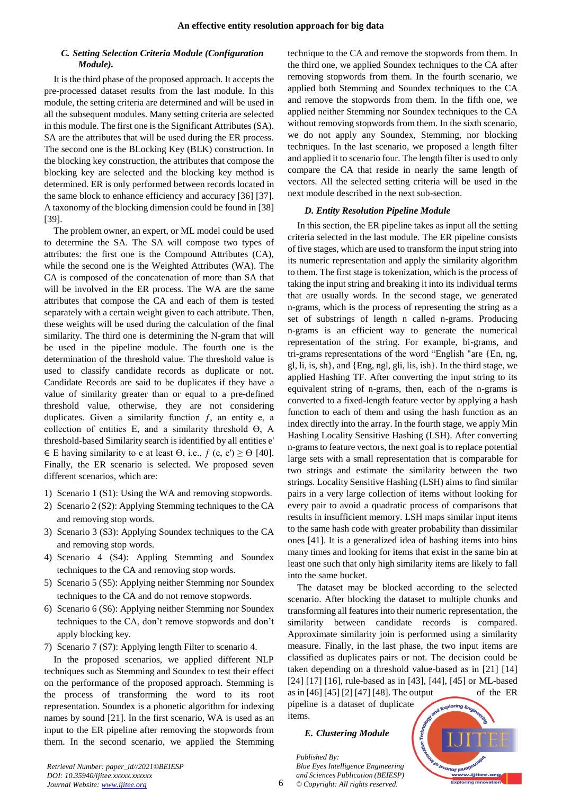#### *C. Setting Selection Criteria Module (Configuration Module).*

It is the third phase of the proposed approach. It accepts the pre-processed dataset results from the last module. In this module, the setting criteria are determined and will be used in all the subsequent modules. Many setting criteria are selected in this module. The first one is the Significant Attributes (SA). SA are the attributes that will be used during the ER process. The second one is the BLocking Key (BLK) construction. In the blocking key construction, the attributes that compose the blocking key are selected and the blocking key method is determined. ER is only performed between records located in the same block to enhance efficiency and accuracy [36] [37]. A taxonomy of the blocking dimension could be found in [38] [39].

The problem owner, an expert, or ML model could be used to determine the SA. The SA will compose two types of attributes: the first one is the Compound Attributes (CA), while the second one is the Weighted Attributes (WA). The CA is composed of the concatenation of more than SA that will be involved in the ER process. The WA are the same attributes that compose the CA and each of them is tested separately with a certain weight given to each attribute. Then, these weights will be used during the calculation of the final similarity. The third one is determining the N-gram that will be used in the pipeline module. The fourth one is the determination of the threshold value. The threshold value is used to classify candidate records as duplicate or not. Candidate Records are said to be duplicates if they have a value of similarity greater than or equal to a pre-defined threshold value, otherwise, they are not considering duplicates. Given a similarity function  $f$ , an entity e, a collection of entities E, and a similarity threshold  $\Theta$ , A threshold-based Similarity search is identified by all entities e'  $\in$  E having similarity to e at least  $\Theta$ , i.e.,  $f$  (e, e')  $\geq \Theta$  [40]. Finally, the ER scenario is selected. We proposed seven different scenarios, which are:

- 1) Scenario 1 (S1): Using the WA and removing stopwords.
- 2) Scenario 2 (S2): Applying Stemming techniques to the CA and removing stop words.
- 3) Scenario 3 (S3): Applying Soundex techniques to the CA and removing stop words.
- 4) Scenario 4 (S4): Appling Stemming and Soundex techniques to the CA and removing stop words.
- 5) Scenario 5 (S5): Applying neither Stemming nor Soundex techniques to the CA and do not remove stopwords.
- 6) Scenario 6 (S6): Applying neither Stemming nor Soundex techniques to the CA, don't remove stopwords and don't apply blocking key.
- 7) Scenario 7 (S7): Applying length Filter to scenario 4.

In the proposed scenarios, we applied different NLP techniques such as Stemming and Soundex to test their effect on the performance of the proposed approach. Stemming is the process of transforming the word to its root representation. Soundex is a phonetic algorithm for indexing names by sound [21]. In the first scenario, WA is used as an input to the ER pipeline after removing the stopwords from them. In the second scenario, we applied the Stemming technique to the CA and remove the stopwords from them. In the third one, we applied Soundex techniques to the CA after removing stopwords from them. In the fourth scenario, we applied both Stemming and Soundex techniques to the CA and remove the stopwords from them. In the fifth one, we applied neither Stemming nor Soundex techniques to the CA without removing stopwords from them. In the sixth scenario, we do not apply any Soundex, Stemming, nor blocking techniques. In the last scenario, we proposed a length filter and applied it to scenario four. The length filter is used to only compare the CA that reside in nearly the same length of vectors. All the selected setting criteria will be used in the next module described in the next sub-section.

#### *D. Entity Resolution Pipeline Module*

In this section, the ER pipeline takes as input all the setting criteria selected in the last module. The ER pipeline consists of five stages, which are used to transform the input string into its numeric representation and apply the similarity algorithm to them. The first stage is tokenization, which is the process of taking the input string and breaking it into its individual terms that are usually words. In the second stage, we generated n-grams, which is the process of representing the string as a set of substrings of length n called n-grams. Producing n-grams is an efficient way to generate the numerical representation of the string. For example, bi-grams, and tri-grams representations of the word "English "are {En, ng, gl, li, is, sh}, and {Eng, ngl, gli, lis, ish}. In the third stage, we applied Hashing TF. After converting the input string to its equivalent string of n-grams, then, each of the n-grams is converted to a fixed-length feature vector by applying a hash function to each of them and using the hash function as an index directly into the array. In the fourth stage, we apply Min Hashing Locality Sensitive Hashing (LSH). After converting n-grams to feature vectors, the next goal is to replace potential large sets with a small representation that is comparable for two strings and estimate the similarity between the two strings. Locality Sensitive Hashing (LSH) aims to find similar pairs in a very large collection of items without looking for every pair to avoid a quadratic process of comparisons that results in insufficient memory. LSH maps similar input items to the same hash code with greater probability than dissimilar ones [41]. It is a generalized idea of hashing items into bins many times and looking for items that exist in the same bin at least one such that only high similarity items are likely to fall into the same bucket.

The dataset may be blocked according to the selected scenario. After blocking the dataset to multiple chunks and transforming all features into their numeric representation, the similarity between candidate records is compared. Approximate similarity join is performed using a similarity measure. Finally, in the last phase, the two input items are classified as duplicates pairs or not. The decision could be taken depending on a threshold value-based as in [21] [14] [24] [17] [16], rule-based as in [43], [44], [45] or ML-based as in [46] [45] [2] [47] [48]. The output of the ER

pipeline is a dataset of duplicate items.

#### *E. Clustering Module*

*Blue Eyes Intelligence Engineering and Sciences Publication (BEIESP) © Copyright: All rights reserved.*

*Published By:*

**Deunor leuoir** ...<br>ww.ijitee.org pring In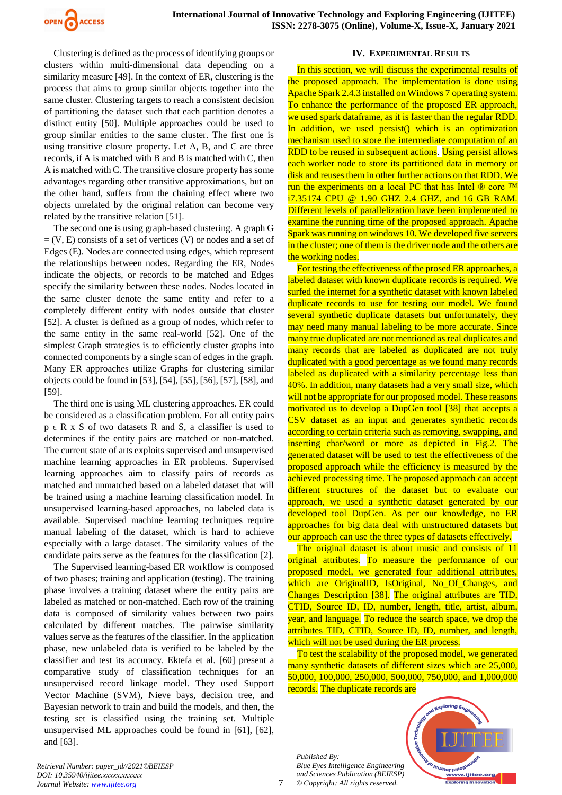

Clustering is defined as the process of identifying groups or clusters within multi-dimensional data depending on a similarity measure [49]. In the context of ER, clustering is the process that aims to group similar objects together into the same cluster. Clustering targets to reach a consistent decision of partitioning the dataset such that each partition denotes a distinct entity [50]. Multiple approaches could be used to group similar entities to the same cluster. The first one is using transitive closure property. Let A, B, and C are three records, if A is matched with B and B is matched with C, then A is matched with C. The transitive closure property has some advantages regarding other transitive approximations, but on the other hand, suffers from the chaining effect where two objects unrelated by the original relation can become very related by the transitive relation [51].

The second one is using graph-based clustering. A graph G  $= (V, E)$  consists of a set of vertices  $(V)$  or nodes and a set of Edges (E). Nodes are connected using edges, which represent the relationships between nodes. Regarding the ER, Nodes indicate the objects, or records to be matched and Edges specify the similarity between these nodes. Nodes located in the same cluster denote the same entity and refer to a completely different entity with nodes outside that cluster [52]. A cluster is defined as a group of nodes, which refer to the same entity in the same real-world [52]. One of the simplest Graph strategies is to efficiently cluster graphs into connected components by a single scan of edges in the graph. Many ER approaches utilize Graphs for clustering similar objects could be found in [53], [54], [55], [56], [57], [58], and [59].

The third one is using ML clustering approaches. ER could be considered as a classification problem. For all entity pairs  $p \in R$  x S of two datasets R and S, a classifier is used to determines if the entity pairs are matched or non-matched. The current state of arts exploits supervised and unsupervised machine learning approaches in ER problems. Supervised learning approaches aim to classify pairs of records as matched and unmatched based on a labeled dataset that will be trained using a machine learning classification model. In unsupervised learning-based approaches, no labeled data is available. Supervised machine learning techniques require manual labeling of the dataset, which is hard to achieve especially with a large dataset. The similarity values of the candidate pairs serve as the features for the classification [2].

The Supervised learning-based ER workflow is composed of two phases; training and application (testing). The training phase involves a training dataset where the entity pairs are labeled as matched or non-matched. Each row of the training data is composed of similarity values between two pairs calculated by different matches. The pairwise similarity values serve as the features of the classifier. In the application phase, new unlabeled data is verified to be labeled by the classifier and test its accuracy. Ektefa et al. [60] present a comparative study of classification techniques for an unsupervised record linkage model. They used Support Vector Machine (SVM), Nieve bays, decision tree, and Bayesian network to train and build the models, and then, the testing set is classified using the training set. Multiple unsupervised ML approaches could be found in [61], [62], and [63].

#### **IV. EXPERIMENTAL RESULTS**

In this section, we will discuss the experimental results of the proposed approach. The implementation is done using Apache Spark 2.4.3 installed on Windows 7 operating system. To enhance the performance of the proposed ER approach, we used spark dataframe, as it is faster than the regular RDD. In addition, we used persist() which is an optimization mechanism used to store the intermediate computation of an RDD to be reused in subsequent actions. Using persist allows each worker node to store its partitioned data in memory or disk and reuses them in other further actions on that RDD. We run the experiments on a local PC that has Intel ® core ™ i7.35174 CPU @ 1.90 GHZ 2.4 GHZ, and 16 GB RAM. Different levels of parallelization have been implemented to examine the running time of the proposed approach. Apache Spark was running on windows 10. We developed five servers in the cluster; one of them is the driver node and the others are the working nodes.

For testing the effectiveness of the prosed ER approaches, a labeled dataset with known duplicate records is required. We surfed the internet for a synthetic dataset with known labeled duplicate records to use for testing our model. We found several synthetic duplicate datasets but unfortunately, they may need many manual labeling to be more accurate. Since many true duplicated are not mentioned as real duplicates and many records that are labeled as duplicated are not truly duplicated with a good percentage as we found many records labeled as duplicated with a similarity percentage less than 40%. In addition, many datasets had a very small size, which will not be appropriate for our proposed model. These reasons motivated us to develop a DupGen tool [38] that accepts a CSV dataset as an input and generates synthetic records according to certain criteria such as removing, swapping, and inserting char/word or more as depicted in Fig.2. The generated dataset will be used to test the effectiveness of the proposed approach while the efficiency is measured by the achieved processing time. The proposed approach can accept different structures of the dataset but to evaluate our approach, we used a synthetic dataset generated by our developed tool DupGen. As per our knowledge, no ER approaches for big data deal with unstructured datasets but our approach can use the three types of datasets effectively.

The original dataset is about music and consists of 11 original attributes. To measure the performance of our proposed model, we generated four additional attributes, which are OriginalID, IsOriginal, No\_Of\_Changes, and Changes Description [38]. The original attributes are TID, CTID, Source ID, ID, number, length, title, artist, album, year, and language. To reduce the search space, we drop the attributes TID, CTID, Source ID, ID, number, and length, which will not be used during the ER process.

To test the scalability of the proposed model, we generated many synthetic datasets of different sizes which are 25,000, 50,000, 100,000, 250,000, 500,000, 750,000, and 1,000,000 records. The duplicate records are

*Published By: Blue Eyes Intelligence Engineering and Sciences Publication (BEIESP) © Copyright: All rights reserved.*

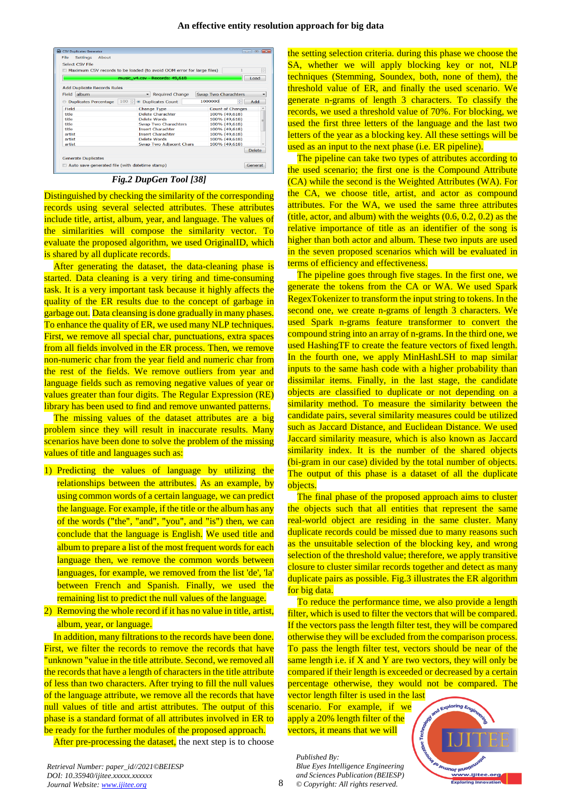| Select CSV File                    |                                                                       |                             |
|------------------------------------|-----------------------------------------------------------------------|-----------------------------|
|                                    | Maximum CSV records to be loaded (to avoid OOM error for large files) | $\frac{\lambda}{\nu}$       |
|                                    | music_v4.csv - Records: 49,618                                        | Load                        |
| <b>Add Duplicate Records Rules</b> |                                                                       |                             |
| album<br>Field                     | <b>Required Change</b><br>۰                                           | <b>Swap Two Charachters</b> |
| <b>Duplicates Percentage</b>       | 100 ÷ © Duplicates Count                                              | 1000000<br>÷<br>Add         |
| Field                              | <b>Change Type</b>                                                    | <b>Count of Changes</b>     |
| title                              | Delete Charachter                                                     | 100% (49,618)               |
| title                              | Delete Words                                                          | 100% (49,618)               |
| title                              | <b>Swap Two Charachters</b>                                           | 100% (49,618)               |
| title                              | <b>Insert Charachter</b>                                              | 100% (49,618)               |
| artist                             | <b>Insert Charachter</b>                                              | 100% (49,618)               |
| artist                             | <b>Delete Words</b>                                                   | 100% (49,618)               |
| artist                             | <b>Swap Two Adiacent Chars</b>                                        | 100% (49.618)               |
|                                    |                                                                       | <b>Delete</b>               |
|                                    |                                                                       |                             |

*Fig.2 DupGen Tool [38]*

Distinguished by checking the similarity of the corresponding records using several selected attributes. These attributes include title, artist, album, year, and language. The values of the similarities will compose the similarity vector. To evaluate the proposed algorithm, we used OriginalID, which is shared by all duplicate records.

After generating the dataset, the data-cleaning phase is started. Data cleaning is a very tiring and time-consuming task. It is a very important task because it highly affects the quality of the ER results due to the concept of garbage in garbage out. Data cleansing is done gradually in many phases. To enhance the quality of ER, we used many NLP techniques. First, we remove all special char, punctuations, extra spaces from all fields involved in the ER process. Then, we remove non-numeric char from the year field and numeric char from the rest of the fields. We remove outliers from year and language fields such as removing negative values of year or values greater than four digits. The Regular Expression (RE) library has been used to find and remove unwanted patterns.

The missing values of the dataset attributes are a big problem since they will result in inaccurate results. Many scenarios have been done to solve the problem of the missing values of title and languages such as:

1) Predicting the values of language by utilizing the relationships between the attributes. As an example, by using common words of a certain language, we can predict the language. For example, if the title or the album has any of the words ("the", "and", "you", and "is") then, we can conclude that the language is English. We used title and album to prepare a list of the most frequent words for each language then, we remove the common words between languages, for example, we removed from the list 'de', 'la' between French and Spanish. Finally, we used the remaining list to predict the null values of the language.

2) Removing the whole record if it has no value in title, artist, album, year, or language.

In addition, many filtrations to the records have been done. First, we filter the records to remove the records that have "unknown "value in the title attribute. Second, we removed all the records that have a length of characters in the title attribute of less than two characters. After trying to fill the null values of the language attribute, we remove all the records that have null values of title and artist attributes. The output of this phase is a standard format of all attributes involved in ER to be ready for the further modules of the proposed approach.

After pre-processing the dataset, the next step is to choose

the setting selection criteria. during this phase we choose the SA, whether we will apply blocking key or not, NLP techniques (Stemming, Soundex, both, none of them), the threshold value of ER, and finally the used scenario. We generate n-grams of length 3 characters. To classify the records, we used a threshold value of 70%. For blocking, we used the first three letters of the language and the last two letters of the year as a blocking key. All these settings will be used as an input to the next phase (i.e. ER pipeline).

The pipeline can take two types of attributes according to the used scenario; the first one is the Compound Attribute (CA) while the second is the Weighted Attributes (WA). For the CA, we choose title, artist, and actor as compound attributes. For the WA, we used the same three attributes (title, actor, and album) with the weights  $(0.6, 0.2, 0.2)$  as the relative importance of title as an identifier of the song is higher than both actor and album. These two inputs are used in the seven proposed scenarios which will be evaluated in terms of efficiency and effectiveness.

The pipeline goes through five stages. In the first one, we generate the tokens from the CA or WA. We used Spark RegexTokenizer to transform the input string to tokens. In the second one, we create n-grams of length 3 characters. We used Spark n-grams feature transformer to convert the compound string into an array of n-grams. In the third one, we used HashingTF to create the feature vectors of fixed length. In the fourth one, we apply MinHashLSH to map similar inputs to the same hash code with a higher probability than dissimilar items. Finally, in the last stage, the candidate objects are classified to duplicate or not depending on a similarity method. To measure the similarity between the candidate pairs, several similarity measures could be utilized such as Jaccard Distance, and Euclidean Distance. We used Jaccard similarity measure, which is also known as Jaccard similarity index. It is the number of the shared objects (bi-gram in our case) divided by the total number of objects. The output of this phase is a dataset of all the duplicate objects.

The final phase of the proposed approach aims to cluster the objects such that all entities that represent the same real-world object are residing in the same cluster. Many duplicate records could be missed due to many reasons such as the unsuitable selection of the blocking key, and wrong selection of the threshold value; therefore, we apply transitive closure to cluster similar records together and detect as many duplicate pairs as possible. Fig.3 illustrates the ER algorithm for big data.

To reduce the performance time, we also provide a length filter, which is used to filter the vectors that will be compared. If the vectors pass the length filter test, they will be compared otherwise they will be excluded from the comparison process. To pass the length filter test, vectors should be near of the same length i.e. if  $X$  and  $Y$  are two vectors, they will only be compared if their length is exceeded or decreased by a certain percentage otherwise, they would not be compared. The

vector length filter is used in the last scenario. For example, if we apply a 20% length filter of the vectors, it means that we will

*Published By: Blue Eyes Intelligence Engineering and Sciences Publication (BEIESP)*

*© Copyright: All rights reserved.*

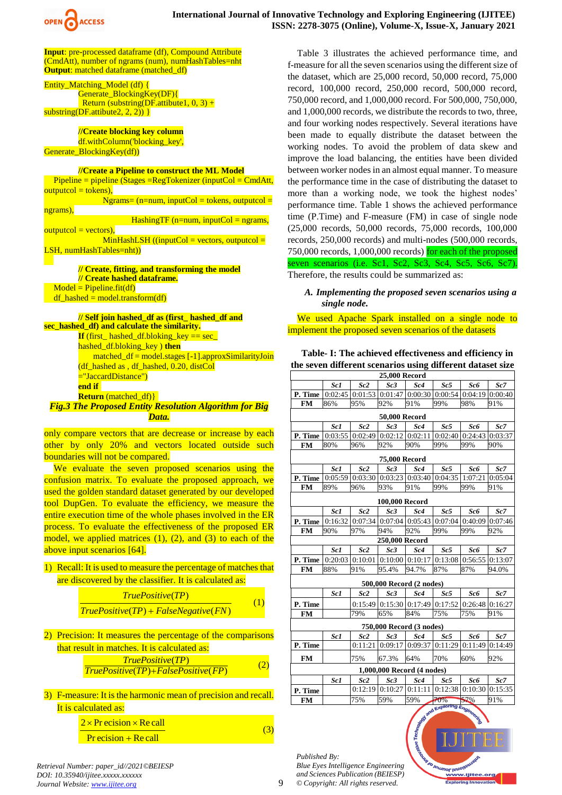

**Input**: pre-processed dataframe (df), Compound Attribute (CmdAtt), number of ngrams (num), numHashTables=nht **Output:** matched dataframe (matched\_df)

Entity Matching Model (df) { Generate\_BlockingKey(DF){ Return (substring(DF.attibute1,  $0, 3$ ) + substring(DF.attibute2, 2, 2)) }

**//Create blocking key column** df.withColumn('blocking key', Generate\_BlockingKey(df))

#### **//Create a Pipeline to construct the ML Model**

 $Pipeline = pipeline (Stages = RegTokenizer (inputCol = CmdAtt,$  $outputcol = tokens),$ 

 $Ngrams = (n=num, inputCol = tokens, outputCol =$ ngrams),  $HashingTF$  (n=num, inputCol = ngrams,

 $outputcol = vectors)$ ,  $MinHashLSH$  ((inputCol = vectors, outputcol = LSH, numHashTables=nht))

**// Create, fitting, and transforming the model // Create hashed dataframe.**  $Model = Pipeline.fit(df)$  $df_{\text{hashed}} = model.trainsform(df)$ 

#### **// Self join hashed\_df as (first\_ hashed\_df and**

**sec\_hashed\_df) and calculate the similarity. If** (first\_ hashed\_df.bloking\_key == sec\_ hashed\_df.bloking\_key ) **then** matched\_df = model.stages [-1].approxSimilarityJoin (df\_hashed as , df\_hashed, 0.20, distCol ="JaccardDistance") **end if Return** (matched\_df)}

# *Fig.3 The Proposed Entity Resolution Algorithm for Big Data.*

only compare vectors that are decrease or increase by each other by only 20% and vectors located outside such boundaries will not be compared.

We evaluate the seven proposed scenarios using the confusion matrix. To evaluate the proposed approach, we used the golden standard dataset generated by our developed tool DupGen. To evaluate the efficiency, we measure the entire execution time of the whole phases involved in the ER process. To evaluate the effectiveness of the proposed ER model, we applied matrices (1), (2), and (3) to each of the above input scenarios [64].

1) Recall: It is used to measure the percentage of matches that

| are discovered by the classifier. It is calculated as: |                                            |  |  |  |
|--------------------------------------------------------|--------------------------------------------|--|--|--|
|                                                        | <i>TruePositive(TP)</i>                    |  |  |  |
|                                                        | $True Positive (TP) + False Negative (FN)$ |  |  |  |

- 2) Precision: It measures the percentage of the comparisons that result in matches. It is calculated as: ( ) *TruePositive TP* (2)
	- ( ) ( ) *TruePositive TP FalsePositive FP*
- 3) F-measure: It is the harmonic mean of precision and recall. It is calculated as:
	- $2 \times Pr$  ecision  $\times$  Re call
		- $Pr$  ecision + Re call

Table 3 illustrates the achieved performance time, and f-measure for all the seven scenarios using the different size of the dataset, which are 25,000 record, 50,000 record, 75,000 record, 100,000 record, 250,000 record, 500,000 record, 750,000 record, and 1,000,000 record. For 500,000, 750,000, and 1,000,000 records, we distribute the records to two, three, and four working nodes respectively. Several iterations have been made to equally distribute the dataset between the working nodes. To avoid the problem of data skew and improve the load balancing, the entities have been divided between worker nodes in an almost equal manner. To measure the performance time in the case of distributing the dataset to more than a working node, we took the highest nodes' performance time. Table 1 shows the achieved performance time (P.Time) and F-measure (FM) in case of single node (25,000 records, 50,000 records, 75,000 records, 100,000 records, 250,000 records) and multi-nodes (500,000 records, 750,000 records, 1,000,000 records) for each of the proposed seven scenarios (i.e. Sc1, Sc2, Sc3, Sc4, Sc5, Sc6, Sc7).

Therefore, the results could be summarized as:

*A. Implementing the proposed seven scenarios using a single node.*

We used Apache Spark installed on a single node to implement the proposed seven scenarios of the datasets

**Table- I: The achieved effectiveness and efficiency in the seven different scenarios using different dataset size**

| <b>25,000 Record</b>     |                 |                 |                            |                   |         |                 |         |  |  |  |
|--------------------------|-----------------|-----------------|----------------------------|-------------------|---------|-----------------|---------|--|--|--|
|                          | Sc <sub>1</sub> | Sc2             | Sc3                        | Sc4               | Sc5     | Sc <sub>6</sub> | Sc7     |  |  |  |
| P. Time                  | 0:02:45         | 0:01:53         | 0:01:47                    | 0:00:30           | 0:00:54 | 0:04:19         | 0:00:40 |  |  |  |
| <b>FM</b>                | 86%             | 95%             | 92%                        | 91%               | 99%     | 98%             | 91%     |  |  |  |
| 50,000 Record            |                 |                 |                            |                   |         |                 |         |  |  |  |
|                          | Sc <sub>1</sub> | Sc2             | Sc3                        | Sc4               | Sc5     | Sc <sub>6</sub> | Sc7     |  |  |  |
| P. Time                  | 0:03:55         | 0:02:49         | 0:02:12                    | 0:02:11           | 0:02:40 | 0:24:43         | 0:03:37 |  |  |  |
| <b>FM</b>                | 80%             | 96%             | 92%                        | 90%               | 99%     | 99%             | 90%     |  |  |  |
| <b>75,000 Record</b>     |                 |                 |                            |                   |         |                 |         |  |  |  |
|                          | Sc1             | Sc <sub>2</sub> | Sc3                        | Sc4               | Sc5     | Sc <sub>6</sub> | Sc7     |  |  |  |
| P. Time                  | 0:05:59         |                 | $0:03:30$ 0:03:23 0:03:40  |                   | 0:04:35 | 1:07:21         | 0:05:04 |  |  |  |
| <b>FM</b>                | 89%             | 96%             | 93%                        | 91%               | 99%     | 99%             | 91%     |  |  |  |
|                          |                 |                 | 100,000 Record             |                   |         |                 |         |  |  |  |
|                          | Sc1             | Sc <sub>2</sub> | Sc3                        | Sc4               | Sc5     | Sc6             | Sc7     |  |  |  |
| P. Time                  | 0:16:32         | 0:07:34         | 0:07:04                    | 0:05:43           | 0:07:04 | 0:40:09         | 0:07:46 |  |  |  |
| <b>FM</b>                | 90%             | 97%             | 94%                        | 92%               | 99%     | 99%             | 92%     |  |  |  |
|                          |                 |                 | 250,000 Record             |                   |         |                 |         |  |  |  |
|                          | Sc1             | Sc2             | Sc3                        | Sc4               | Sc5     | Sc <sub>6</sub> | Sc7     |  |  |  |
| P. Time                  | 0:20:03         | 0:10:01         | $0:10:00$ 0:10:17          |                   | 0:13:08 | 0:56:55         | 0:13:07 |  |  |  |
| <b>FM</b>                | 88%             | 91%             | 95.4%                      | 94.7%             | 87%     | 87%             | 94.0%   |  |  |  |
|                          |                 |                 | 500,000 Record (2 nodes)   |                   |         |                 |         |  |  |  |
|                          | Sc <sub>1</sub> | Sc2             | Sc3                        | Sc4               | Sc5     | Sc6             | Sc7     |  |  |  |
| P. Time                  |                 | 0:15:49         |                            | $0:15:30$ 0:17:49 | 0:17:52 | 0:26:48         | 0:16:27 |  |  |  |
| <b>FM</b>                |                 | 79%             | 65%                        | 84%               | 75%     | 75%             | 91%     |  |  |  |
| 750,000 Record (3 nodes) |                 |                 |                            |                   |         |                 |         |  |  |  |
|                          | Sc1             | Sc <sub>2</sub> | Sc3                        | Sc4               | Sc5     | Sc <sub>6</sub> | Sc7     |  |  |  |
| P. Time                  |                 | 0:11:21         | 0:09:17                    | 0:09:37           | 0:11:29 | 0:11:49         | 0:14:49 |  |  |  |
|                          |                 |                 |                            |                   |         |                 |         |  |  |  |
| <b>FM</b>                |                 | 75%             | 67.3%                      | 64%               | 70%     | 60%             | 92%     |  |  |  |
|                          |                 |                 | 1,000,000 Record (4 nodes) |                   |         |                 |         |  |  |  |
|                          | Sc <sub>1</sub> | Sc2             | Sc3                        | Sc4               | Sc5     | Sc <sub>6</sub> | Sc7     |  |  |  |
| P. Time                  |                 | 0:12:19         | 0:10:27                    | 0:11:11           | 0:12:38 | 0:10:30         | 0:15:35 |  |  |  |
| <b>FM</b>                |                 | 75%             | 59%                        | 59%               | 70%     | 57%             | 91%     |  |  |  |
| nd Exploring Engin       |                 |                 |                            |                   |         |                 |         |  |  |  |

ww.ijitee.org ng Ini

*Published By:*

*Blue Eyes Intelligence Engineering and Sciences Publication (BEIESP) © Copyright: All rights reserved.*



(3)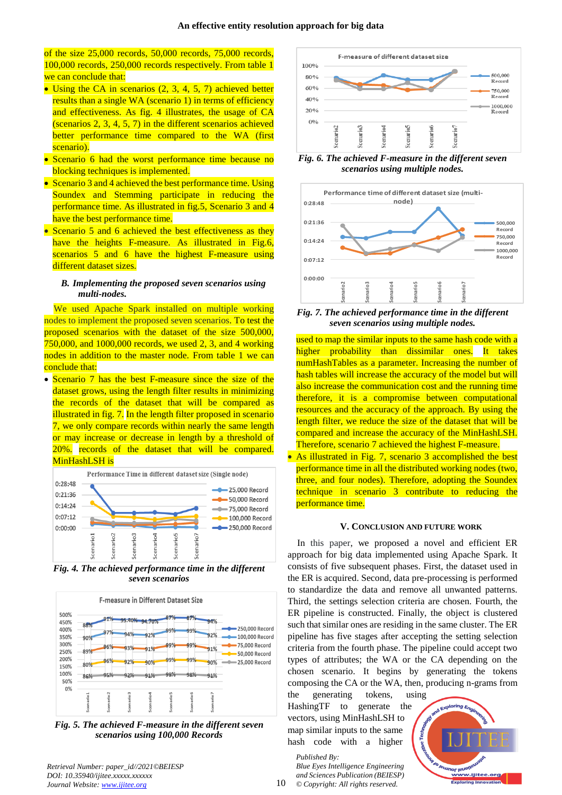of the size 25,000 records, 50,000 records, 75,000 records, 100,000 records, 250,000 records respectively. From table 1 we can conclude that:

- Using the CA in scenarios  $(2, 3, 4, 5, 7)$  achieved better results than a single WA (scenario 1) in terms of efficiency and effectiveness. As fig. 4 illustrates, the usage of CA (scenarios 2, 3, 4, 5, 7) in the different scenarios achieved better performance time compared to the WA (first scenario).
- Scenario 6 had the worst performance time because no blocking techniques is implemented.
- Scenario 3 and 4 achieved the best performance time. Using Soundex and Stemming participate in reducing the performance time. As illustrated in fig.5, Scenario 3 and 4 have the best performance time.
- Scenario 5 and 6 achieved the best effectiveness as they have the heights F-measure. As illustrated in Fig.6, scenarios 5 and 6 have the highest F-measure using different dataset sizes.

### *B. Implementing the proposed seven scenarios using multi-nodes.*

We used Apache Spark installed on multiple working nodes to implement the proposed seven scenarios. To test the proposed scenarios with the dataset of the size 500,000, 750,000, and 1000,000 records, we used 2, 3, and 4 working nodes in addition to the master node. From table 1 we can conclude that:

• Scenario 7 has the best F-measure since the size of the dataset grows, using the length filter results in minimizing the records of the dataset that will be compared as illustrated in fig. 7. In the length filter proposed in scenario 7, we only compare records within nearly the same length or may increase or decrease in length by a threshold of 20%. records of the dataset that will be compared. MinHashLSH is



*Fig. 4. The achieved performance time in the different seven scenarios*



*Fig. 5. The achieved F-measure in the different seven scenarios using 100,000 Records*



*Fig. 6. The achieved F-measure in the different seven scenarios using multiple nodes.*



*Fig. 7. The achieved performance time in the different seven scenarios using multiple nodes.*

used to map the similar inputs to the same hash code with a higher probability than dissimilar ones. It takes numHashTables as a parameter. Increasing the number of hash tables will increase the accuracy of the model but will also increase the communication cost and the running time therefore, it is a compromise between computational resources and the accuracy of the approach. By using the length filter, we reduce the size of the dataset that will be compared and increase the accuracy of the MinHashLSH. Therefore, scenario 7 achieved the highest F-measure.

• As illustrated in Fig. 7, scenario 3 accomplished the best performance time in all the distributed working nodes (two, three, and four nodes). Therefore, adopting the Soundex technique in scenario 3 contribute to reducing the performance time.

#### **V. CONCLUSION AND FUTURE WORK**

In this paper, we proposed a novel and efficient ER approach for big data implemented using Apache Spark. It consists of five subsequent phases. First, the dataset used in the ER is acquired. Second, data pre-processing is performed to standardize the data and remove all unwanted patterns. Third, the settings selection criteria are chosen. Fourth, the ER pipeline is constructed. Finally, the object is clustered such that similar ones are residing in the same cluster. The ER pipeline has five stages after accepting the setting selection criteria from the fourth phase. The pipeline could accept two types of attributes; the WA or the CA depending on the chosen scenario. It begins by generating the tokens composing the CA or the WA, then, producing n-grams from

the generating tokens, using HashingTF to generate the vectors, using MinHashLSH to map similar inputs to the same hash code with a higher

*Published By: Blue Eyes Intelligence Engineering and Sciences Publication (BEIESP) © Copyright: All rights reserved.*

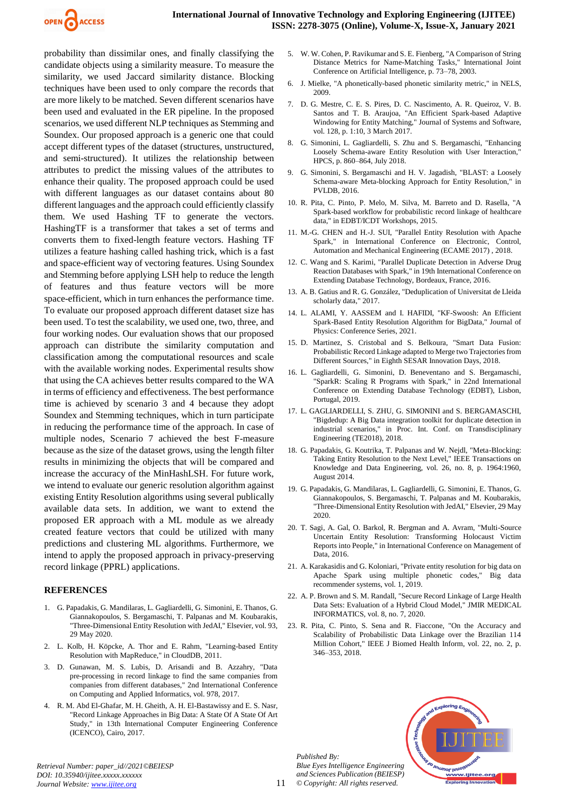

probability than dissimilar ones, and finally classifying the candidate objects using a similarity measure. To measure the similarity, we used Jaccard similarity distance. Blocking techniques have been used to only compare the records that are more likely to be matched. Seven different scenarios have been used and evaluated in the ER pipeline. In the proposed scenarios, we used different NLP techniques as Stemming and Soundex. Our proposed approach is a generic one that could accept different types of the dataset (structures, unstructured, and semi-structured). It utilizes the relationship between attributes to predict the missing values of the attributes to enhance their quality. The proposed approach could be used with different languages as our dataset contains about 80 different languages and the approach could efficiently classify them. We used Hashing TF to generate the vectors. HashingTF is a transformer that takes a set of terms and converts them to fixed-length feature vectors. Hashing TF utilizes a feature hashing called hashing trick, which is a fast and space-efficient way of vectoring features. Using Soundex and Stemming before applying LSH help to reduce the length of features and thus feature vectors will be more space-efficient, which in turn enhances the performance time. To evaluate our proposed approach different dataset size has been used. To test the scalability, we used one, two, three, and four working nodes. Our evaluation shows that our proposed approach can distribute the similarity computation and classification among the computational resources and scale with the available working nodes. Experimental results show that using the CA achieves better results compared to the WA in terms of efficiency and effectiveness. The best performance time is achieved by scenario 3 and 4 because they adopt Soundex and Stemming techniques, which in turn participate in reducing the performance time of the approach. In case of multiple nodes, Scenario 7 achieved the best F-measure because as the size of the dataset grows, using the length filter results in minimizing the objects that will be compared and increase the accuracy of the MinHashLSH. For future work, we intend to evaluate our generic resolution algorithm against existing Entity Resolution algorithms using several publically available data sets. In addition, we want to extend the proposed ER approach with a ML module as we already created feature vectors that could be utilized with many predictions and clustering ML algorithms. Furthermore, we intend to apply the proposed approach in privacy-preserving record linkage (PPRL) applications.

#### **REFERENCES**

- 1. G. Papadakis, G. Mandilaras, L. Gagliardelli, G. Simonini, E. Thanos, G. Giannakopoulos, S. Bergamaschi, T. Palpanas and M. Koubarakis, "Three-Dimensional Entity Resolution with JedAI," Elsevier, vol. 93, 29 May 2020.
- 2. L. Kolb, H. Köpcke, A. Thor and E. Rahm, "Learning-based Entity Resolution with MapReduce," in CloudDB, 2011.
- 3. D. Gunawan, M. S. Lubis, D. Arisandi and B. Azzahry, "Data pre-processing in record linkage to find the same companies from companies from different databases," 2nd International Conference on Computing and Applied Informatics, vol. 978, 2017.
- 4. R. M. Abd El-Ghafar, M. H. Gheith, A. H. El-Bastawissy and E. S. Nasr, "Record Linkage Approaches in Big Data: A State Of A State Of Art Study," in 13th International Computer Engineering Conference (ICENCO), Cairo, 2017.
- 5. W. W. Cohen, P. Ravikumar and S. E. Fienberg, "A Comparison of String Distance Metrics for Name-Matching Tasks," International Joint Conference on Artificial Intelligence, p. 73–78, 2003.
- 6. J. Mielke, "A phonetically-based phonetic similarity metric," in NELS, 2009.
- 7. D. G. Mestre, C. E. S. Pires, D. C. Nascimento, A. R. Queiroz, V. B. Santos and T. B. Araujoa, "An Efficient Spark-based Adaptive Windowing for Entity Matching," Journal of Systems and Software, vol. 128, p. 1:10, 3 March 2017.
- 8. G. Simonini, L. Gagliardelli, S. Zhu and S. Bergamaschi, "Enhancing Loosely Schema-aware Entity Resolution with User Interaction, HPCS, p. 860–864, July 2018.
- 9. G. Simonini, S. Bergamaschi and H. V. Jagadish, "BLAST: a Loosely Schema-aware Meta-blocking Approach for Entity Resolution," in PVLDB, 2016.
- 10. R. Pita, C. Pinto, P. Melo, M. Silva, M. Barreto and D. Rasella, "A Spark-based workflow for probabilistic record linkage of healthcare data," in EDBT/ICDT Workshops, 2015.
- 11. M.-G. CHEN and H.-J. SUI, "Parallel Entity Resolution with Apache Spark," in International Conference on Electronic, Control, Automation and Mechanical Engineering (ECAME 2017) , 2018.
- 12. C. Wang and S. Karimi, "Parallel Duplicate Detection in Adverse Drug Reaction Databases with Spark," in 19th International Conference on Extending Database Technology, Bordeaux, France, 2016.
- 13. A. B. Gatius and R. G. González, "Deduplication of Universitat de Lleida scholarly data," 2017.
- 14. L. ALAMI, Y. AASSEM and I. HAFIDI, "KF-Swoosh: An Efficient Spark-Based Entity Resolution Algorithm for BigData," Journal of Physics: Conference Series, 2021.
- 15. D. Martinez, S. Cristobal and S. Belkoura, "Smart Data Fusion: Probabilistic Record Linkage adapted to Merge two Trajectories from Different Sources," in Eighth SESAR Innovation Days, 2018.
- 16. L. Gagliardelli, G. Simonini, D. Beneventano and S. Bergamaschi, "SparkR: Scaling R Programs with Spark," in 22nd International Conference on Extending Database Technology (EDBT), Lisbon, Portugal, 2019.
- 17. L. GAGLIARDELLI, S. ZHU, G. SIMONINI and S. BERGAMASCHI, "Bigdedup: A Big Data integration toolkit for duplicate detection in industrial scenarios," in Proc. Int. Conf. on Transdisciplinary Engineering (TE2018), 2018.
- 18. G. Papadakis, G. Koutrika, T. Palpanas and W. Nejdl, "Meta-Blocking: Taking Entity Resolution to the Next Level," IEEE Transactions on Knowledge and Data Engineering, vol. 26, no. 8, p. 1964:1960, August 2014.
- 19. G. Papadakis, G. Mandilaras, L. Gagliardelli, G. Simonini, E. Thanos, G. Giannakopoulos, S. Bergamaschi, T. Palpanas and M. Koubarakis, "Three-Dimensional Entity Resolution with JedAI," Elsevier, 29 May 2020.
- 20. T. Sagi, A. Gal, O. Barkol, R. Bergman and A. Avram, "Multi-Source Uncertain Entity Resolution: Transforming Holocaust Victim Reports into People," in International Conference on Management of Data, 2016.
- 21. A. Karakasidis and G. Koloniari, "Private entity resolution for big data on Apache Spark using multiple phonetic codes," Big data recommender systems, vol. 1, 2019.
- 22. A. P. Brown and S. M. Randall, "Secure Record Linkage of Large Health Data Sets: Evaluation of a Hybrid Cloud Model," JMIR MEDICAL INFORMATICS, vol. 8, no. 7, 2020.
- 23. R. Pita, C. Pinto, S. Sena and R. Fiaccone, "On the Accuracy and Scalability of Probabilistic Data Linkage over the Brazilian 114 Million Cohort," IEEE J Biomed Health Inform, vol. 22, no. 2, p. 346–353, 2018.

*Published By: Blue Eyes Intelligence Engineering and Sciences Publication (BEIESP) © Copyright: All rights reserved.*

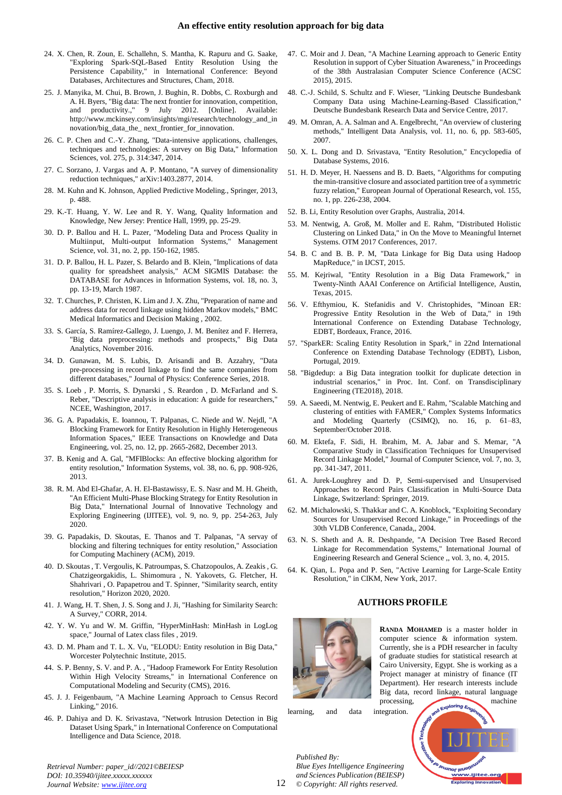- 24. X. Chen, R. Zoun, E. Schallehn, S. Mantha, K. Rapuru and G. Saake, "Exploring Spark-SQL-Based Entity Resolution Using the Persistence Capability," in International Conference: Beyond Databases, Architectures and Structures, Cham, 2018.
- 25. J. Manyika, M. Chui, B. Brown, J. Bughin, R. Dobbs, C. Roxburgh and A. H. Byers, "Big data: The next frontier for innovation, competition, and productivity.," 9 July 2012. [Online]. Available: http://www.mckinsey.com/insights/mgi/research/technology\_and\_in novation/big\_data\_the\_ next\_frontier\_for\_innovation.
- 26. C. P. Chen and C.-Y. Zhang, "Data-intensive applications, challenges, techniques and technologies: A survey on Big Data," Information Sciences, vol. 275, p. 314:347, 2014.
- 27. C. Sorzano, J. Vargas and A. P. Montano, "A survey of dimensionality reduction techniques," arXiv:1403.2877, 2014.
- 28. M. Kuhn and K. Johnson, Applied Predictive Modeling., Springer, 2013, p. 488.
- 29. K.-T. Huang, Y. W. Lee and R. Y. Wang, Quality Information and Knowledge, New Jersey: Prentice Hall, 1999, pp. 25-29.
- 30. D. P. Ballou and H. L. Pazer, "Modeling Data and Process Quality in Multiinput, Multi-output Information Systems," Management Science, vol. 31, no. 2, pp. 150-162, 1985.
- 31. D. P. Ballou, H. L. Pazer, S. Belardo and B. Klein, "Implications of data quality for spreadsheet analysis," ACM SIGMIS Database: the DATABASE for Advances in Information Systems, vol. 18, no. 3, pp. 13-19, March 1987.
- 32. T. Churches, P. Christen, K. Lim and J. X. Zhu, "Preparation of name and address data for record linkage using hidden Markov models," BMC Medical Informatics and Decision Making , 2002.
- 33. S. García, S. Ramírez-Gallego, J. Luengo, J. M. Benítez and F. Herrera, "Big data preprocessing: methods and prospects," Big Data Analytics, November 2016.
- 34. D. Gunawan, M. S. Lubis, D. Arisandi and B. Azzahry, "Data pre-processing in record linkage to find the same companies from different databases," Journal of Physics: Conference Series, 2018.
- 35. S. Loeb , P. Morris, S. Dynarski , S. Reardon , D. McFarland and S. Reber, "Descriptive analysis in education: A guide for researchers," NCEE, Washington, 2017.
- 36. G. A. Papadakis, E. Ioannou, T. Palpanas, C. Niede and W. Nejdl, "A Blocking Framework for Entity Resolution in Highly Heterogeneous Information Spaces," IEEE Transactions on Knowledge and Data Engineering, vol. 25, no. 12, pp. 2665-2682, December 2013.
- 37. B. Kenig and A. Gal, "MFIBlocks: An effective blocking algorithm for entity resolution," Information Systems, vol. 38, no. 6, pp. 908-926, 2013.
- 38. R. M. Abd El-Ghafar, A. H. El-Bastawissy, E. S. Nasr and M. H. Gheith, "An Efficient Multi-Phase Blocking Strategy for Entity Resolution in Big Data," International Journal of Innovative Technology and Exploring Engineering (IJITEE), vol. 9, no. 9, pp. 254-263, July 2020.
- 39. G. Papadakis, D. Skoutas, E. Thanos and T. Palpanas, "A servay of blocking and filtering techniques for entity resolution," Association for Computing Machinery (ACM), 2019.
- 40. D. Skoutas , T. Vergoulis, K. Patroumpas, S. Chatzopoulos, A. Zeakis , G. Chatzigeorgakidis, L. Shimomura , N. Yakovets, G. Fletcher, H. Shahrivari , O. Papapetrou and T. Spinner, "Similarity search, entity resolution," Horizon 2020, 2020.
- 41. J. Wang, H. T. Shen, J. S. Song and J. Ji, "Hashing for Similarity Search: A Survey," CORR, 2014.
- 42. Y. W. Yu and W. M. Griffin, "HyperMinHash: MinHash in LogLog space," Journal of Latex class files , 2019.
- 43. D. M. Pham and T. L. X. Vu, "ELODU: Entity resolution in Big Data," Worcester Polytechnic Institute, 2015.
- 44. S. P. Benny, S. V. and P. A. , "Hadoop Framework For Entity Resolution Within High Velocity Streams," in International Conference on Computational Modeling and Security (CMS), 2016.
- 45. J. J. Feigenbaum, "A Machine Learning Approach to Census Record Linking," 2016.
- 46. P. Dahiya and D. K. Srivastava, "Network Intrusion Detection in Big Dataset Using Spark," in International Conference on Computational Intelligence and Data Science, 2018.

47. C. Moir and J. Dean, "A Machine Learning approach to Generic Entity Resolution in support of Cyber Situation Awareness," in Proceedings of the 38th Australasian Computer Science Conference (ACSC 2015), 2015.

- 48. C.-J. Schild, S. Schultz and F. Wieser, "Linking Deutsche Bundesbank Company Data using Machine-Learning-Based Classification," Deutsche Bundesbank Research Data and Service Centre, 2017.
- 49. M. Omran, A. A. Salman and A. Engelbrecht, "An overview of clustering methods," Intelligent Data Analysis, vol. 11, no. 6, pp. 583-605, 2007.
- 50. X. L. Dong and D. Srivastava, "Entity Resolution," Encyclopedia of Database Systems, 2016.
- 51. H. D. Meyer, H. Naessens and B. D. Baets, "Algorithms for computing the min-transitive closure and associated partition tree of a symmetric fuzzy relation," European Journal of Operational Research, vol. 155, no. 1, pp. 226-238, 2004.
- 52. B. Li, Entity Resolution over Graphs, Australia, 2014.
- 53. M. Nentwig, A. Groß, M. Moller and E. Rahm, "Distributed Holistic Clustering on Linked Data," in On the Move to Meaningful Internet Systems. OTM 2017 Conferences, 2017.
- 54. B. C and B. B. P. M, "Data Linkage for Big Data using Hadoop MapReduce," in IJCST, 2015.
- 55. M. Kejriwal, "Entity Resolution in a Big Data Framework," in Twenty-Ninth AAAI Conference on Artificial Intelligence, Austin, Texas, 2015.
- 56. V. Efthymiou, K. Stefanidis and V. Christophides, "Minoan ER: Progressive Entity Resolution in the Web of Data," in 19th International Conference on Extending Database Technology, EDBT, Bordeaux, France, 2016.
- 57. "SparkER: Scaling Entity Resolution in Spark," in 22nd International Conference on Extending Database Technology (EDBT), Lisbon, Portugal, 2019.
- 58. "Bigdedup: a Big Data integration toolkit for duplicate detection in industrial scenarios," in Proc. Int. Conf. on Transdisciplinary Engineering (TE2018), 2018.
- 59. A. Saeedi, M. Nentwig, E. Peukert and E. Rahm, "Scalable Matching and clustering of entities with FAMER," Complex Systems Informatics and Modeling Quarterly (CSIMQ), no. 16, p. 61–83, September/October 2018.
- 60. M. Ektefa, F. Sidi, H. Ibrahim, M. A. Jabar and S. Memar, "A Comparative Study in Classification Techniques for Unsupervised Record Linkage Model," Journal of Computer Science, vol. 7, no. 3, pp. 341-347, 2011.
- 61. A. Jurek-Loughrey and D. P, Semi-supervised and Unsupervised Approaches to Record Pairs Classification in Multi-Source Data Linkage, Switzerland: Springer, 2019.
- 62. M. Michalowski, S. Thakkar and C. A. Knoblock, "Exploiting Secondary Sources for Unsupervised Record Linkage," in Proceedings of the 30th VLDB Conference, Canada,, 2004.
- 63. N. S. Sheth and A. R. Deshpande, "A Decision Tree Based Record Linkage for Recommendation Systems," International Journal of Engineering Research and General Science ,, vol. 3, no. 4, 2015.
- 64. K. Qian, L. Popa and P. Sen, "Active Learning for Large-Scale Entity Resolution," in CIKM, New York, 2017.

### **AUTHORS PROFILE**



**RANDA MOHAMED** is a master holder in computer science & information system. Currently, she is a PDH researcher in faculty of graduate studies for statistical research at Cairo University, Egypt. She is working as a Project manager at ministry of finance (IT Department). Her research interests include Big data, record linkage, natural language processing, machine

learning, and data integration.

*Published By: Blue Eyes Intelligence Engineering and Sciences Publication (BEIESP) © Copyright: All rights reserved.*



**SO Terrinor levels** ww.ijitee.org **Exploring Innova**